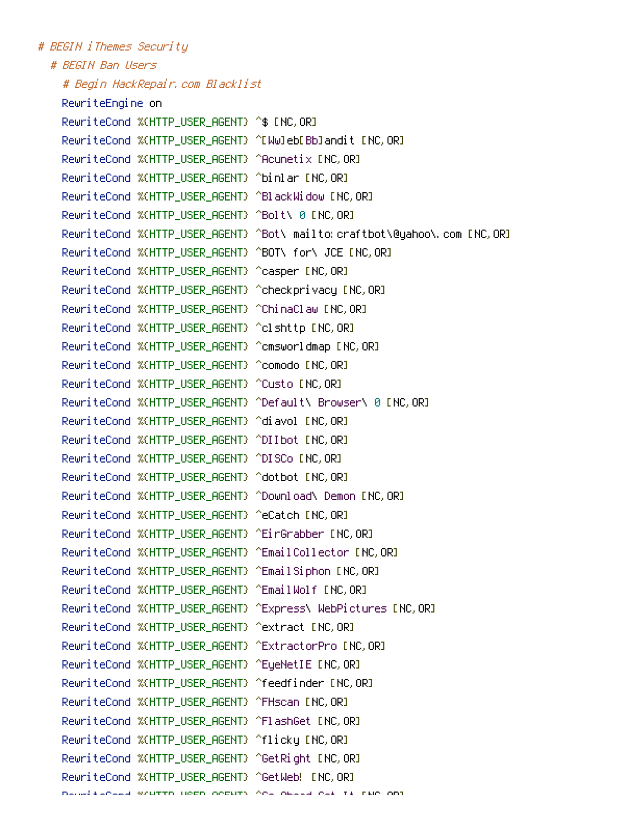# BEGIN iThemes Security # REGIN Ran Users # Begin HackRepair.com Blacklist RewriteEngine on RewriteCond %(HTTP\_USER\_AGENT) ^\$ [NC, OR] RewriteCond %(HTTP USER AGENT) ^[Ww]eb[Bb]andit [NC.OR] RewriteCond %(HTTP\_USER\_AGENT) ^Acunetix [NC, OR] RewriteCond %(HTTP\_USER\_AGENT) ^binlar [NC,OR] RewriteCond %(HTTP USER AGENT) ^BlackWidow [NC.OR] RewriteCond %(HTTP\_USER\_AGENT) ^Bolt\ 0 [NC,OR] RewriteCond %(HTTP\_USER\_AGENT) ^Bot\ mailto: craftbot\@yahoo\.com [NC,OR] RewriteCond %(HTTP\_USER\_AGENT) ^BOT\ for\ JCE [NC, OR] RewriteCond %(HTTP USER AGENT) ^casper [NC.OR] RewriteCond %(HTTP\_USER\_AGENT) ^checkprivacy [NC,OR] RewriteCond %(HTTP\_USER\_AGENT) ^ChinaClaw [NC, OR] RewriteCond %(HTTP\_USER\_AGENT) ^comodo [NC,OR] RewriteCond %(HTTP\_USER\_AGENT) ^Custo [NC,OR] RewriteCond %(HTTP USER AGENT) ^Default\ Browser\ 0 [NC.OR] RewriteCond %(HTTP\_USER\_AGENT) ^diavol [NC,OR] RewriteCond %(HTTP\_USER\_AGENT) ^DIIbot [NC,OR] RewriteCond %(HTTP\_USER\_AGENT) ^DISCo [NC, OR] RewriteCond %(HTTP\_USER\_AGENT) ^dotbot [NC, OR] RewriteCond %(HTTP\_USER\_AGENT) ^Download\ Demon [NC,OR] RewriteCond %(HTTP\_USER\_AGENT) ^eCatch [NC, OR] RewriteCond %(HTTP\_USER\_AGENT) ^EirGrabber [NC, OR] RewriteCond %(HTTP\_USER\_AGENT) ^EmailCollector [NC, OR] RewriteCond %(HTTP\_USER\_AGENT) ^EmailSiphon [NC, OR] RewriteCond %(HTTP\_USER\_AGENT) ^EmailWolf [NC, OR] RewriteCond %(HTTP\_USER\_AGENT) ^Express\ WebPictures [NC, OR] RewriteCond %(HTTP\_USER\_AGENT) ^extract [NC,OR] RewriteCond %(HTTP\_USER\_AGENT) ^ExtractorPro [NC,OR] RewriteCond %(HTTP\_USER\_AGENT) ^EyeNetIE [NC, OR] RewriteCond %(HTTP\_USER\_AGENT) ^feedfinder [NC, OR] RewriteCond %(HTTP\_USER\_AGENT) ^FHscan [NC, OR] RewriteCond %(HTTP\_USER\_AGENT) ^FlashGet [NC, OR] RewriteCond %(HTTP\_USER\_AGENT) ^flicky [NC,OR] RewriteCond %(HTTP\_USER\_AGENT) ^GetRight [NC, OR] RewriteCond %(HTTP USER AGENT) ^GetWeb! [NC.OR] Barnel Languard Written Home Occuts And Oberal has to the one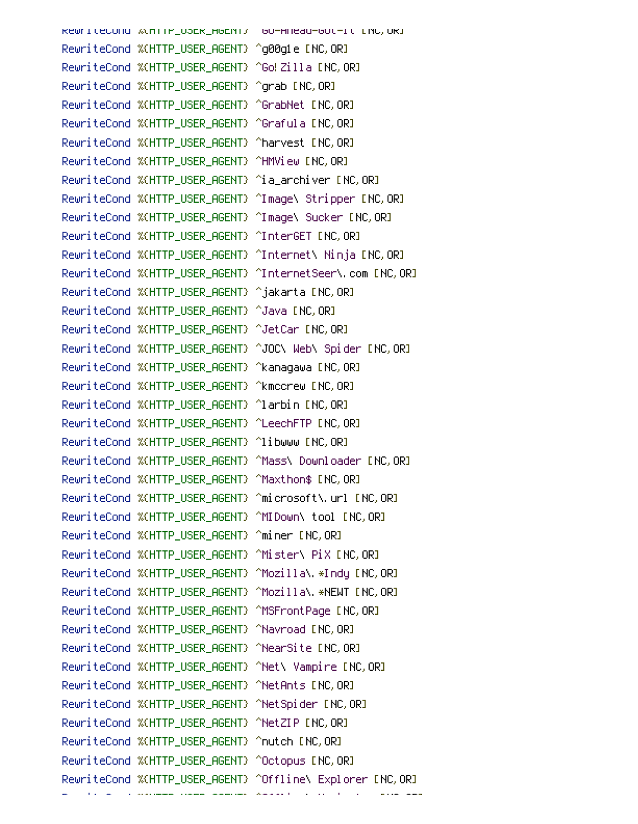RewriteCond Wunifr\_OSER\_HGENT7 GO-HRead-GOT-It LNC,ORI RewriteCond %(HTTP\_USER\_AGENT) ^Go!Zilla [NC,OR] RewriteCond %(HTTP\_USER\_AGENT) ^qrab [NC, OR] RewriteCond %(HTTP\_USER\_AGENT) ^GrabNet [NC,OR] RewriteCond %(HTTP\_USER\_AGENT) ^Grafula [NC,OR] RewriteCond %(HTTP\_USER\_AGENT) ^harvest [NC,OR] RewriteCond %(HTTP USER AGENT) ^HMView [NC.OR] RewriteCond %(HTTP\_USER\_AGENT) ^ia\_archiver [NC,OR] RewriteCond %(HTTP\_USER\_AGENT) ^Image\ Stripper [NC,OR] RewriteCond %(HTTP\_USER\_AGENT) ^Image\ Sucker [NC, OR] RewriteCond %(HTTP\_USER\_AGENT) ^InterGET [NC, OR] RewriteCond %(HTTP\_USER\_AGENT) ^Internet\ Ninja [NC, OR] RewriteCond %(HTTP\_USER\_AGENT) ^jakarta [NC,OR] RewriteCond %(HTTP\_USER\_AGENT) ^Java [NC, OR] RewriteCond %(HTTP\_USER\_AGENT) ^JetCar [NC,OR] RewriteCond %(HTTP\_USER\_AGENT) ^JOC\ Web\ Spider [NC,OR] RewriteCond %(HTTP\_USER\_AGENT) ^kanagawa [NC, OR] RewriteCond %(HTTP\_USER\_AGENT) ^kmccrew [NC,OR] RewriteCond %(HTTP\_USER\_AGENT) ^larbin [NC,OR] RewriteCond %(HTTP\_USER\_AGENT) ^LeechFTP [NC, OR] RewriteCond %(HTTP\_USER\_AGENT) ^libwww [NC,OR] RewriteCond %(HTTP\_USER\_AGENT) ^Mass\ Downloader [NC, OR] RewriteCond %(HTTP\_USER\_AGENT) ^Maxthon\$ [NC,OR] RewriteCond %(HTTP\_USER\_AGENT) ^microsoft\.url [NC,0R] RewriteCond %(HTTP\_USER\_AGENT) ^MIDown\ tool [NC,OR] RewriteCond %(HTTP\_USER\_AGENT) ^miner [NC,OR] RewriteCond %(HTTP USER AGENT) ^Mozilla\.\*Indu [NC.OR] RewriteCond %(HTTP\_USER\_AGENT) ^Mozilla\.\*NEWT [NC,OR] RewriteCond %(HTTP\_USER\_AGENT) ^MSFrontPage [NC,OR] RewriteCond %(HTTP\_USER\_AGENT) ^Navroad [NC, OR] RewriteCond %(HTTP\_USER\_AGENT) ^NearSite [NC,OR] RewriteCond %CHTTP\_USER\_AGENT) ^Net\ Vampire [NC, OR] RewriteCond %(HTTP\_USER\_AGENT) ^NetAnts [NC,OR] RewriteCond %(HTTP\_USER\_AGENT) ^NetSpider [NC, OR] RewriteCond %(HTTP\_USER\_AGENT) ^NetZIP [NC,OR] RewriteCond %(HTTP\_USER\_AGENT) ^nutch [NC,OR] RewriteCond %(HTTP\_USER\_AGENT) ^Octopus [NC,OR] RewriteCond %(HTTP\_USER\_AGENT) ^Offline\ Explorer [NC,OR]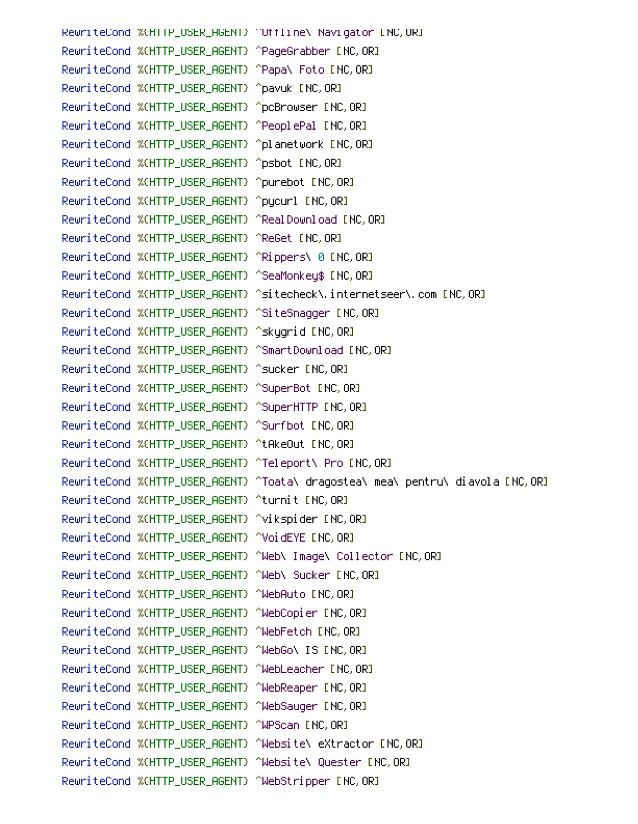RewriteCond %(HTTP\_USER\_AGENT) "Uffline\ Navigator [NC, UR] RewriteCond %(HTTP\_USER\_AGENT) ^PageGrabber [NC,OR] RewriteCond %(HTTP\_USER\_AGENT) ^Papa\ Foto [NC,OR] RewriteCond %(HTTP\_USER\_AGENT) ^pavuk [NC,OR] RewriteCond %(HTTP\_USER\_AGENT) ^pcBrowser [NC,0R] RewriteCond %(HTTP\_USER\_AGENT) ^PeoplePal [NC,OR] RewriteCond %(HTTP\_USER\_AGENT) ^planetwork [NC,OR] RewriteCond %(HTTP\_USER\_AGENT) ^psbot [NC,OR] RewriteCond %(HTTP\_USER\_AGENT) ^purebot [NC,OR] RewriteCond %(HTTP\_USER\_AGENT) ^pycurl [NC,OR] RewriteCond %(HTTP\_USER\_AGENT) ^RealDownload [NC,OR] RewriteCond %(HTTP\_USER\_AGENT) ^ReGet [NC,OR] RewriteCond %(HTTP\_USER\_AGENT) ^Rippers\ 0 [NC, OR] RewriteCond %(HTTP\_USER\_AGENT) ^SeaMonkey\$ [NC,OR] RewriteCond %(HTTP\_USER\_AGENT) ^sitecheck\.internetseer\.com [NC,OR] RewriteCond %(HTTP\_USER\_AGENT) ^SiteSnagger [NC,OR] RewriteCond %(HTTP\_USER\_AGENT) ^skygrid [NC,OR] RewriteCond %(HTTP\_USER\_AGENT) ^SmartDownload [NC,OR] RewriteCond %(HTTP\_USER\_AGENT) ^sucker [NC,OR] RewriteCond %(HTTP\_USER\_AGENT) ^SuperBot [NC,OR] RewriteCond %(HTTP\_USER\_AGENT) ^SuperHTTP [NC,OR] RewriteCond %(HTTP\_USER\_AGENT) ^Surfbot [NC,OR] RewriteCond %(HTTP\_USER\_AGENT) ^tAkeOut [NC,OR] RewriteCond %(HTTP\_USER\_AGENT) ^Teleport\ Pro [NC,OR] RewriteCond %(HTTP\_USER\_AGENT) ^Toata\ dragostea\ mea\ pentru\ diavola [NC,OR] RewriteCond %(HTTP\_USER\_AGENT) ^turnit [NC,OR<mark>]</mark> RewriteCond %(HTTP\_USER\_AGENT) ^vikspider [NC,OR] RewriteCond %(HTTP\_USER\_AGENT) ^VoidEYE [NC,OR] RewriteCond %(HTTP\_USER\_AGENT) ^Web\ Image\ Collector [NC,OR] RewriteCond %(HTTP\_USER\_AGENT) ^Web\ Sucker [NC,OR] RewriteCond %(HTTP\_USER\_AGENT) ^WebAuto [NC,OR] RewriteCond %(HTTP\_USER\_AGENT) ^WebCopier [NC,OR] RewriteCond %(HTTP\_USER\_AGENT) ^WebFetch [NC,OR] RewriteCond %(HTTP\_USER\_AGENT) ^WebGo\ IS [NC,OR] RewriteCond %(HTTP\_USER\_AGENT) ^WebLeacher [NC,OR] RewriteCond %(HTTP\_USER\_AGENT) ^WebReaper [NC,OR] RewriteCond %(HTTP\_USER\_AGENT) ^WebSauger [NC,OR] RewriteCond %(HTTP\_USER\_AGENT) ^WPScan [NC,OR] RewriteCond %(HTTP\_USER\_AGENT) ^Website\ eXtractor [NC,OR] RewriteCond %(HTTP\_USER\_AGENT) ^Website\ Quester [NC,OR] RewriteCond %(HTTP\_USER\_AGENT) ^WebStripper [NC,OR]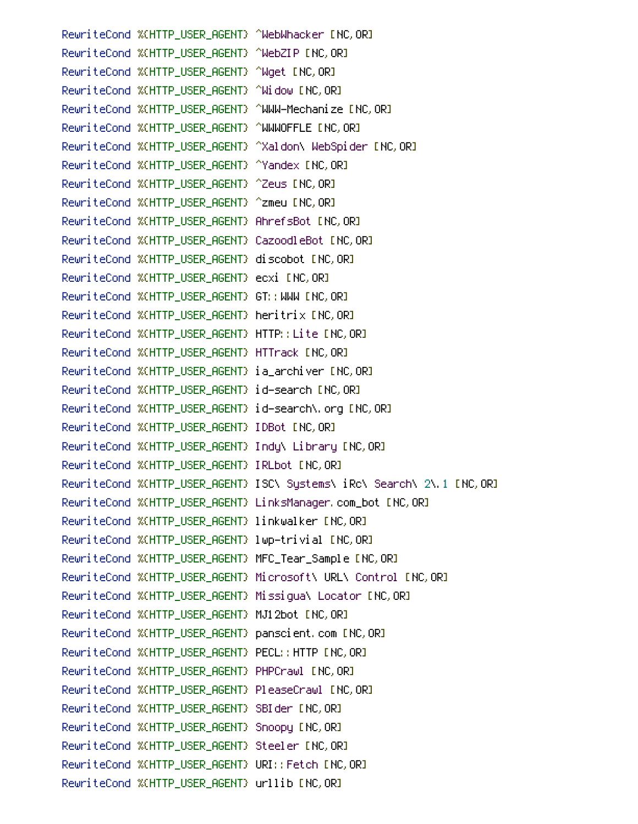RewriteCond %(HTTP\_USER\_AGENT) ^WebWhacker [NC,OR] RewriteCond %(HTTP\_USER\_AGENT) ^WebZIP [NC,OR] RewriteCond %(HTTP\_USER\_AGENT) ^Wget [NC,OR] RewriteCond %(HTTP\_USER\_AGENT) ^Widow [NC, OR] RewriteCond %(HTTP\_USER\_AGENT) ^WWW-Mechanize [NC,OR] RewriteCond %(HTTP\_USER\_AGENT) ^WWWOFFLE [NC,OR] RewriteCond %(HTTP\_USER\_AGENT) ^Xaldon\ WebSpider [NC, OR] RewriteCond %(HTTP\_USER\_AGENT) ^Yandex [NC, OR] RewriteCond %(HTTP\_USER\_AGENT) ^Zeus [NC,OR] RewriteCond %(HTTP\_USER\_AGENT) ^zmeu [NC,OR] RewriteCond %(HTTP\_USER\_AGENT) AhrefsBot [NC, OR] RewriteCond %CHTTP\_USER\_AGENT} CazoodleBot ENC, ORI RewriteCond %(HTTP\_USER\_AGENT) discobot [NC, OR] RewriteCond %(HTTP\_USER\_AGENT) ecxi [NC,OR] RewriteCond %(HTTP\_USER\_AGENT) GT::WWW [NC,OR] RewriteCond %(HTTP\_USER\_AGENT) heritrix [NC,OR] RewriteCond %(HTTP\_USER\_AGENT) HTTP:: Lite [NC, OR] RewriteCond %(HTTP\_USER\_AGENT) HTTrack [NC, OR] RewriteCond %(HTTP\_USER\_AGENT) ia\_archiver [NC,OR] RewriteCond %(HTTP\_USER\_AGENT) id-search [NC, OR] RewriteCond %(HTTP\_USER\_AGENT) id-search\.org [NC,OR] RewriteCond %(HTTP\_USER\_AGENT) IDBot [NC, OR] RewriteCond %(HTTP\_USER\_AGENT) Indu\ Library [NC,OR] RewriteCond %(HTTP\_USER\_AGENT) IRLbot [NC, OR] RewriteCond %(HTTP\_USER\_AGENT) ISC\ Systems\ iRc\ Search\ 2\.1 [NC,OR] RewriteCond %(HTTP\_USER\_AGENT) LinksManager,com\_bot [NC,OR] RewriteCond %(HTTP\_USER\_AGENT) linkwalker [NC, OR] RewriteCond %(HTTP\_USER\_AGENT) MFC\_Tear\_Sample [NC,OR] RewriteCond %(HTTP\_USER\_AGENT) Microsoft\ URL\ Control [NC,OR] RewriteCond %(HTTP\_USER\_AGENT) Missiqua\ Locator [NC, OR] RewriteCond %(HTTP\_USER\_AGENT) MJ12bot [NC, OR] RewriteCond %(HTTP\_USER\_AGENT) panscient.com [NC, OR] RewriteCond %(HTTP\_USER\_AGENT) PECL:: HTTP [NC, OR] RewriteCond %(HTTP\_USER\_AGENT) PHPCrawl [NC, OR] RewriteCond %(HTTP\_USER\_AGENT) PleaseCrawl [NC,OR] RewriteCond %(HTTP\_USER\_AGENT) SBIder [NC, OR] RewriteCond %(HTTP\_USER\_AGENT) Snoopy [NC,OR] RewriteCond %(HTTP\_USER\_AGENT) Steeler [NC,OR] RewriteCond %(HTTP\_USER\_AGENT) URI:: Fetch INC, OR] RewriteCond %(HTTP\_USER\_AGENT) urllib [NC, OR]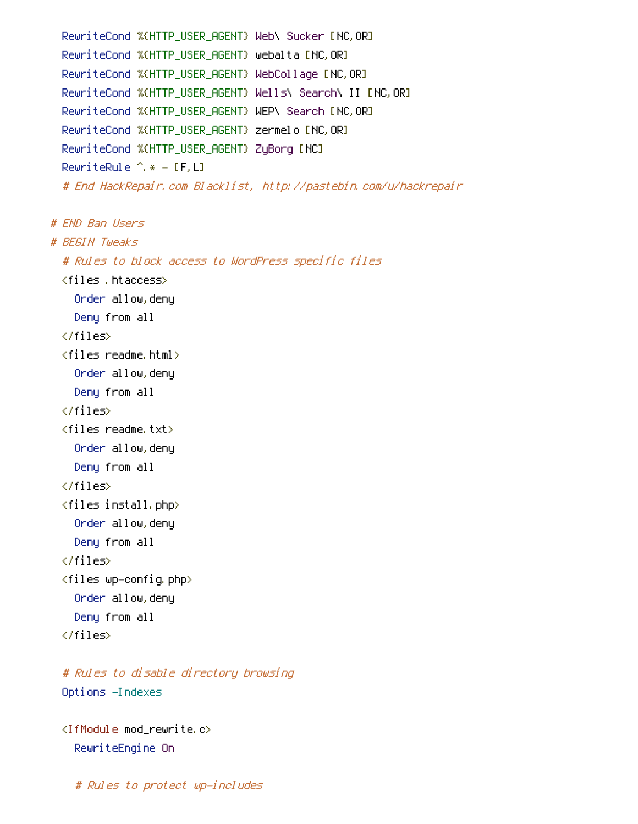```
RewriteCond %(HTTP_USER_AGENT) Web\ Sucker [NC,OR]
RewriteCond %(HTTP_USER_AGENT) webalta [NC,OR]
RewriteCond %(HTTP_USER_AGENT) WebCollage [NC, OR]
RewriteCond %(HTTP_USER_AGENT) Wells\ Search\ II [NC,OR]
RewriteCond %(HTTP_USER_AGENT) WEP\ Search [NC, OR]
RewriteCond %(HTTP_USER_AGENT) zermelo [NC,OR]
RewriteCond %(HTTP_USER_AGENT) ZyBorg [NC]
RewriteRule ^ * - [F.L]
# End HackRepair.com Blacklist, http://pastebin.com/u/hackrepair
```

```
# END Ban Users
# BEGIN Tweaks
  # Rules to block access to WordPress specific files
  <files .htaccess>
    Order allow.denu
    Deny from all
  \langle/files>
  \langlefiles readme html\rangleOnder allow, deny
    Deny from all
  \langle/files>
  <files readme.txt>
    Onder allow, deny
    Deny from all
  \langle/files>
  <files install.php>
    Onder allow, deny
    Deny from all
  \langle/files>
  <files wp-config.php>
    Order allow, deny
    Deny from all
  \langle/files>
```
# Rules to disable directory browsing Options -Indexes

<IfModule mod rewrite.c> RewriteEngine On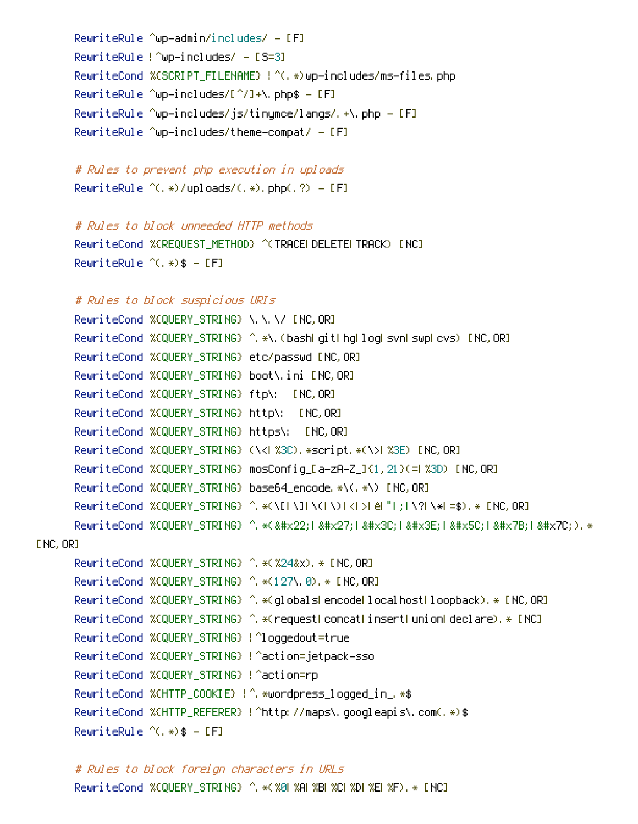```
RewriteRule ^wp—admin/includes/ – [F]
RewriteRule !^wp-includes/ - [S=3]
RewriteCond %(SCRIPT_FILENAME) !^(,*)wp-includes/ms-files.php
RewriteRule ^wp-includes/[^/]+\.php$ – [F]
RewriteRule ^wp—includes/js/tinymce/langs/.+\.php — [F]
RewriteRule ^wp-includes/theme-compat/ - [F]
```

```
# Rules to prevent php execution in uploads
RewriteRule ^(,*)/uploads/(,*),php(,?) = [F]
```

```
# Rules to block unneeded HTTP methods
```
RewriteCond %(REQUEST\_METHOD) ^(TRACELDELETELTRACK) [NC] RewriteRule  $\hat{C}$ , \*)\$ - [F]

```
# Rules to block suspicious URIs
```

```
RewriteCond %CQUERY_STRING} \,\,\/ ENC,OR]
    RewriteCond %(QUERY_STRING) ^ *\.(bashLgitLhgLlogLsvnLswpLcvs)            [NC,ORI
    RewriteCond %(QUERY_STRING) etc/passwd [NC,OR]
    RewriteCond %(QUERY_STRING) boot\.ini [NC,OR]
    RewriteCond %(QUERY_STRING) http\: [NC,OR]
    RewriteCond %(QUERY_STRING) (\<|%3C).*script.*(\>|%3E) [NC,OR]
    RewriteCond %(QUERY_STRING) base64_encode.*\(.*\) [NC,OR]
    RewriteCond %CQUERY_STRING} ^, *(\[|\]|\(|\)|<|>| e|"|;|\?|\*|=$), * [NC, OR]
    ReuriteCond %CQUERY_STRING> ^. *("1'1<1&#x3E;1&#x5C;1&#x7B;1&#x7C;).*
INC, ORJRewriteCond %(QUERY_STRING) ^ * (%24&x), * [NC, OR]
```

```
RewriteCond %(QUERY_STRING) ^ *(127\.0). * [NC,OR]
RewriteCond %(QUERY_STRING) ^,*(globalsLencodeLlocalhostLloopback),* [NC, OR]
RewriteCond %(QUERY_STRING) ^ *(requestLconcatLinsertLunionLdeclare),* [NC]
RewriteCond %(QUERY_STRING) !^loggedout=true
RewriteCond %(QUERY_STRING) !^action=jetpack–sso
RewriteCond %(QUERY_STRING) !^action=rp
RewriteCond %(HTTP_COOKIE) !^ *wordpress_logged_in_ *$
RewriteCond %(HTTP_REFERER) !^http://maps\.googleapis\.com(.*)$
RewriteRule \hat{C}, *) $ - [F]
```
# Rules to block foreign characters in URLs RewriteCond %{QUERY\_STRING} ^,\*(%0|%A|%B|%C|%D|%E|%F),\* [NC]